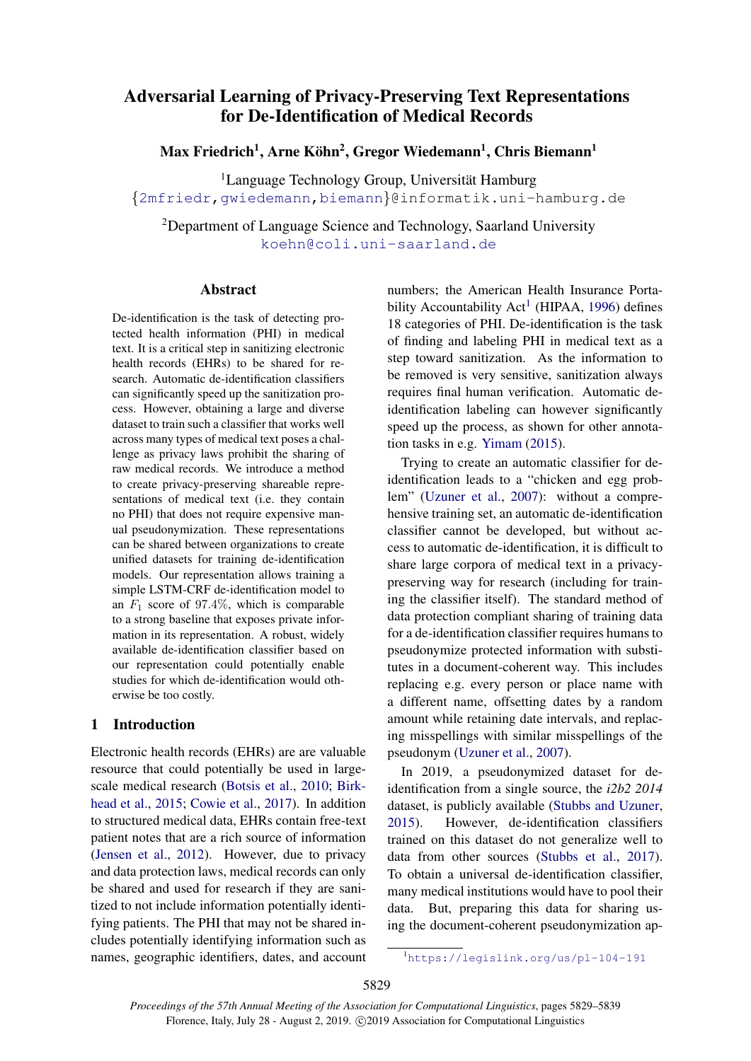# Adversarial Learning of Privacy-Preserving Text Representations for De-Identification of Medical Records

Max Friedrich<sup>1</sup>, Arne Köhn<sup>2</sup>, Gregor Wiedemann<sup>1</sup>, Chris Biemann<sup>1</sup>

 ${}^{1}$ Language Technology Group, Universität Hamburg {[2mfriedr,](mailto:2mfriedr@informatik.uni-hamburg.de)[gwiedemann](mailto:gwiedemann@informatik.uni-hamburg.de)[,biemann](mailto:biemann@informatik.uni-hamburg.de)}@informatik.uni-hamburg.de

<sup>2</sup>Department of Language Science and Technology, Saarland University [koehn@coli.uni-saarland.de](mailto:koehn@coli.uni-saarland.de)

# Abstract

De-identification is the task of detecting protected health information (PHI) in medical text. It is a critical step in sanitizing electronic health records (EHRs) to be shared for research. Automatic de-identification classifiers can significantly speed up the sanitization process. However, obtaining a large and diverse dataset to train such a classifier that works well across many types of medical text poses a challenge as privacy laws prohibit the sharing of raw medical records. We introduce a method to create privacy-preserving shareable representations of medical text (i.e. they contain no PHI) that does not require expensive manual pseudonymization. These representations can be shared between organizations to create unified datasets for training de-identification models. Our representation allows training a simple LSTM-CRF de-identification model to an  $F_1$  score of 97.4%, which is comparable to a strong baseline that exposes private information in its representation. A robust, widely available de-identification classifier based on our representation could potentially enable studies for which de-identification would otherwise be too costly.

# 1 Introduction

Electronic health records (EHRs) are are valuable resource that could potentially be used in largescale medical research [\(Botsis et al.,](#page-8-0) [2010;](#page-8-0) [Birk](#page-8-1)[head et al.,](#page-8-1) [2015;](#page-8-1) [Cowie et al.,](#page-9-0) [2017\)](#page-9-0). In addition to structured medical data, EHRs contain free-text patient notes that are a rich source of information [\(Jensen et al.,](#page-9-1) [2012\)](#page-9-1). However, due to privacy and data protection laws, medical records can only be shared and used for research if they are sanitized to not include information potentially identifying patients. The PHI that may not be shared includes potentially identifying information such as names, geographic identifiers, dates, and account numbers; the American Health Insurance Porta-bility Accountability Act<sup>[1](#page-0-0)</sup> (HIPAA, [1996\)](#page-9-2) defines 18 categories of PHI. De-identification is the task of finding and labeling PHI in medical text as a step toward sanitization. As the information to be removed is very sensitive, sanitization always requires final human verification. Automatic deidentification labeling can however significantly speed up the process, as shown for other annotation tasks in e.g. [Yimam](#page-10-0) [\(2015\)](#page-10-0).

Trying to create an automatic classifier for deidentification leads to a "chicken and egg problem" [\(Uzuner et al.,](#page-9-3) [2007\)](#page-9-3): without a comprehensive training set, an automatic de-identification classifier cannot be developed, but without access to automatic de-identification, it is difficult to share large corpora of medical text in a privacypreserving way for research (including for training the classifier itself). The standard method of data protection compliant sharing of training data for a de-identification classifier requires humans to pseudonymize protected information with substitutes in a document-coherent way. This includes replacing e.g. every person or place name with a different name, offsetting dates by a random amount while retaining date intervals, and replacing misspellings with similar misspellings of the pseudonym [\(Uzuner et al.,](#page-9-3) [2007\)](#page-9-3).

In 2019, a pseudonymized dataset for deidentification from a single source, the *i2b2 2014* dataset, is publicly available [\(Stubbs and Uzuner,](#page-9-4) [2015\)](#page-9-4). However, de-identification classifiers trained on this dataset do not generalize well to data from other sources [\(Stubbs et al.,](#page-9-5) [2017\)](#page-9-5). To obtain a universal de-identification classifier, many medical institutions would have to pool their data. But, preparing this data for sharing using the document-coherent pseudonymization ap-

<span id="page-0-0"></span><sup>1</sup><https://legislink.org/us/pl-104-191>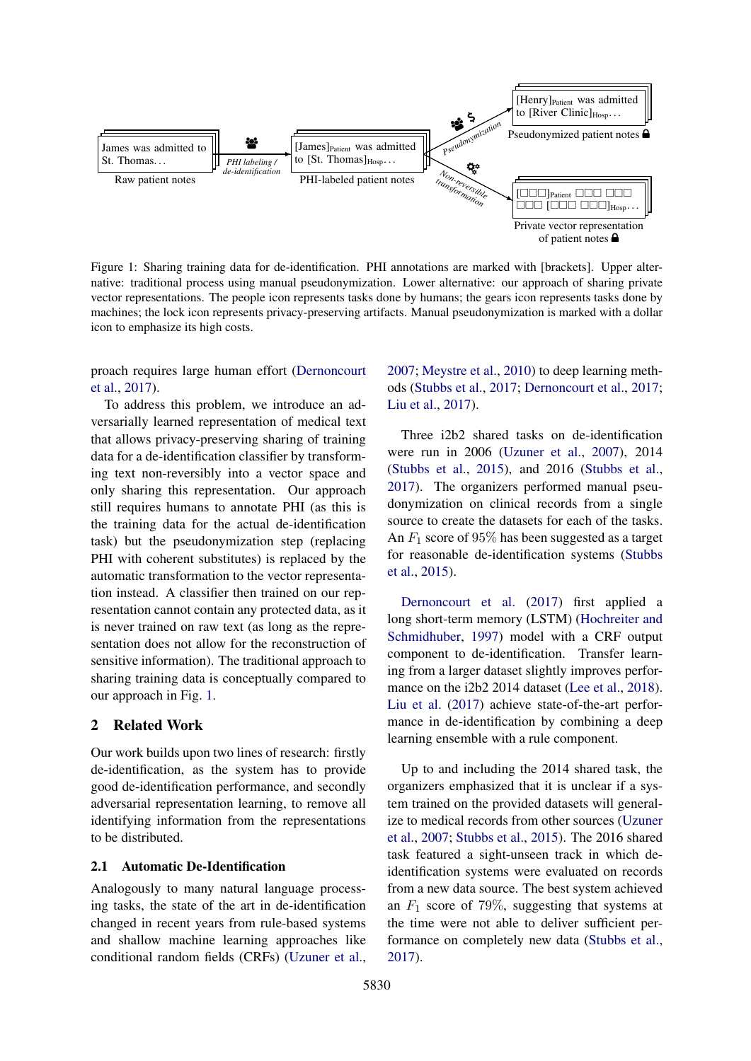<span id="page-1-0"></span>

Figure 1: Sharing training data for de-identification. PHI annotations are marked with [brackets]. Upper alternative: traditional process using manual pseudonymization. Lower alternative: our approach of sharing private vector representations. The people icon represents tasks done by humans; the gears icon represents tasks done by machines; the lock icon represents privacy-preserving artifacts. Manual pseudonymization is marked with a dollar icon to emphasize its high costs.

proach requires large human effort [\(Dernoncourt](#page-9-6) [et al.,](#page-9-6) [2017\)](#page-9-6).

To address this problem, we introduce an adversarially learned representation of medical text that allows privacy-preserving sharing of training data for a de-identification classifier by transforming text non-reversibly into a vector space and only sharing this representation. Our approach still requires humans to annotate PHI (as this is the training data for the actual de-identification task) but the pseudonymization step (replacing PHI with coherent substitutes) is replaced by the automatic transformation to the vector representation instead. A classifier then trained on our representation cannot contain any protected data, as it is never trained on raw text (as long as the representation does not allow for the reconstruction of sensitive information). The traditional approach to sharing training data is conceptually compared to our approach in Fig. [1.](#page-1-0)

# 2 Related Work

Our work builds upon two lines of research: firstly de-identification, as the system has to provide good de-identification performance, and secondly adversarial representation learning, to remove all identifying information from the representations to be distributed.

# 2.1 Automatic De-Identification

Analogously to many natural language processing tasks, the state of the art in de-identification changed in recent years from rule-based systems and shallow machine learning approaches like conditional random fields (CRFs) [\(Uzuner et al.,](#page-9-3)

[2007;](#page-9-3) [Meystre et al.,](#page-9-7) [2010\)](#page-9-7) to deep learning methods [\(Stubbs et al.,](#page-9-5) [2017;](#page-9-5) [Dernoncourt et al.,](#page-9-6) [2017;](#page-9-6) [Liu et al.,](#page-9-8) [2017\)](#page-9-8).

Three i2b2 shared tasks on de-identification were run in 2006 [\(Uzuner et al.,](#page-9-3) [2007\)](#page-9-3), 2014 [\(Stubbs et al.,](#page-9-9) [2015\)](#page-9-9), and 2016 [\(Stubbs et al.,](#page-9-5) [2017\)](#page-9-5). The organizers performed manual pseudonymization on clinical records from a single source to create the datasets for each of the tasks. An  $F_1$  score of 95% has been suggested as a target for reasonable de-identification systems [\(Stubbs](#page-9-9) [et al.,](#page-9-9) [2015\)](#page-9-9).

[Dernoncourt et al.](#page-9-6) [\(2017\)](#page-9-6) first applied a long short-term memory (LSTM) [\(Hochreiter and](#page-9-10) [Schmidhuber,](#page-9-10) [1997\)](#page-9-10) model with a CRF output component to de-identification. Transfer learning from a larger dataset slightly improves perfor-mance on the i2b2 2014 dataset [\(Lee et al.,](#page-9-11) [2018\)](#page-9-11). [Liu et al.](#page-9-8) [\(2017\)](#page-9-8) achieve state-of-the-art performance in de-identification by combining a deep learning ensemble with a rule component.

Up to and including the 2014 shared task, the organizers emphasized that it is unclear if a system trained on the provided datasets will generalize to medical records from other sources [\(Uzuner](#page-9-3) [et al.,](#page-9-3) [2007;](#page-9-3) [Stubbs et al.,](#page-9-9) [2015\)](#page-9-9). The 2016 shared task featured a sight-unseen track in which deidentification systems were evaluated on records from a new data source. The best system achieved an  $F_1$  score of 79%, suggesting that systems at the time were not able to deliver sufficient performance on completely new data [\(Stubbs et al.,](#page-9-5) [2017\)](#page-9-5).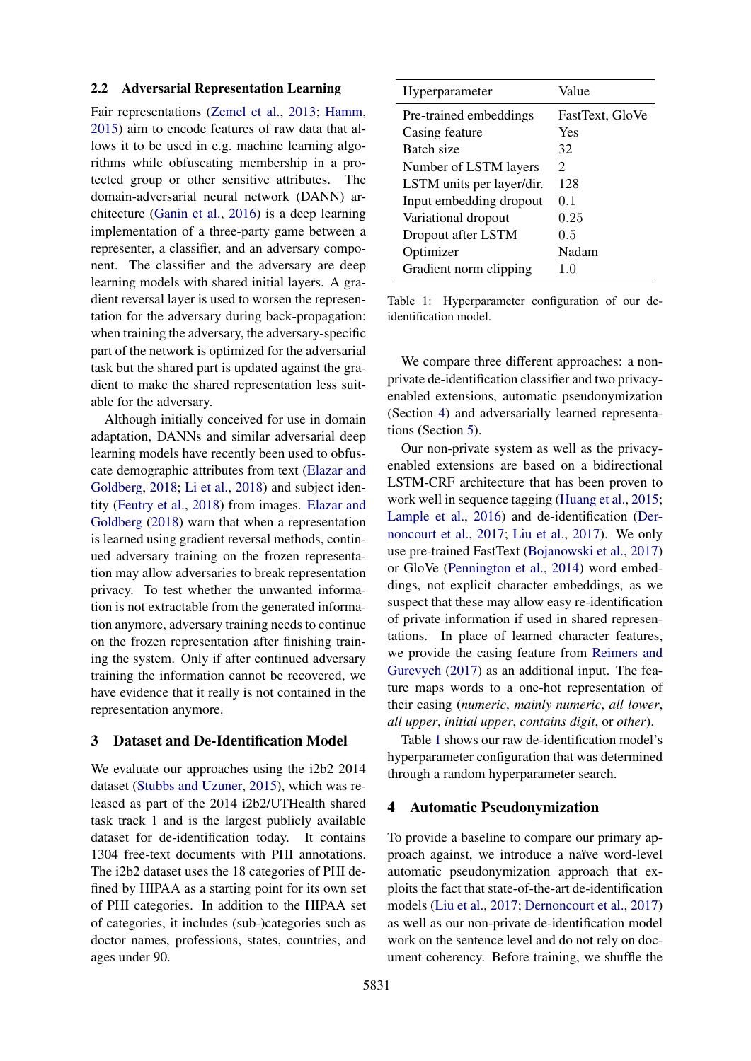## <span id="page-2-3"></span>2.2 Adversarial Representation Learning

Fair representations [\(Zemel et al.,](#page-10-1) [2013;](#page-10-1) [Hamm,](#page-9-12) [2015\)](#page-9-12) aim to encode features of raw data that allows it to be used in e.g. machine learning algorithms while obfuscating membership in a protected group or other sensitive attributes. The domain-adversarial neural network (DANN) architecture [\(Ganin et al.,](#page-9-13) [2016\)](#page-9-13) is a deep learning implementation of a three-party game between a representer, a classifier, and an adversary component. The classifier and the adversary are deep learning models with shared initial layers. A gradient reversal layer is used to worsen the representation for the adversary during back-propagation: when training the adversary, the adversary-specific part of the network is optimized for the adversarial task but the shared part is updated against the gradient to make the shared representation less suitable for the adversary.

Although initially conceived for use in domain adaptation, DANNs and similar adversarial deep learning models have recently been used to obfuscate demographic attributes from text [\(Elazar and](#page-9-14) [Goldberg,](#page-9-14) [2018;](#page-9-14) [Li et al.,](#page-9-15) [2018\)](#page-9-15) and subject identity [\(Feutry et al.,](#page-9-16) [2018\)](#page-9-16) from images. [Elazar and](#page-9-14) [Goldberg](#page-9-14) [\(2018\)](#page-9-14) warn that when a representation is learned using gradient reversal methods, continued adversary training on the frozen representation may allow adversaries to break representation privacy. To test whether the unwanted information is not extractable from the generated information anymore, adversary training needs to continue on the frozen representation after finishing training the system. Only if after continued adversary training the information cannot be recovered, we have evidence that it really is not contained in the representation anymore.

# <span id="page-2-2"></span>3 Dataset and De-Identification Model

We evaluate our approaches using the i2b2 2014 dataset [\(Stubbs and Uzuner,](#page-9-4) [2015\)](#page-9-4), which was released as part of the 2014 i2b2/UTHealth shared task track 1 and is the largest publicly available dataset for de-identification today. It contains 1304 free-text documents with PHI annotations. The i2b2 dataset uses the 18 categories of PHI defined by HIPAA as a starting point for its own set of PHI categories. In addition to the HIPAA set of categories, it includes (sub-)categories such as doctor names, professions, states, countries, and ages under 90.

<span id="page-2-1"></span>

| Hyperparameter            | Value           |
|---------------------------|-----------------|
| Pre-trained embeddings    | FastText, GloVe |
| Casing feature            | Yes             |
| Batch size                | 32              |
| Number of LSTM layers     | 2               |
| LSTM units per layer/dir. | 128             |
| Input embedding dropout   | 0 <sub>1</sub>  |
| Variational dropout       | 0.25            |
| Dropout after LSTM        | 0.5             |
| Optimizer                 | Nadam           |
| Gradient norm clipping    | 1 <sub>0</sub>  |
|                           |                 |

Table 1: Hyperparameter configuration of our deidentification model.

We compare three different approaches: a nonprivate de-identification classifier and two privacyenabled extensions, automatic pseudonymization (Section [4\)](#page-2-0) and adversarially learned representations (Section [5\)](#page-3-0).

Our non-private system as well as the privacyenabled extensions are based on a bidirectional LSTM-CRF architecture that has been proven to work well in sequence tagging [\(Huang et al.,](#page-9-17) [2015;](#page-9-17) [Lample et al.,](#page-9-18) [2016\)](#page-9-18) and de-identification [\(Der](#page-9-6)[noncourt et al.,](#page-9-6) [2017;](#page-9-6) [Liu et al.,](#page-9-8) [2017\)](#page-9-8). We only use pre-trained FastText [\(Bojanowski et al.,](#page-8-2) [2017\)](#page-8-2) or GloVe [\(Pennington et al.,](#page-9-19) [2014\)](#page-9-19) word embeddings, not explicit character embeddings, as we suspect that these may allow easy re-identification of private information if used in shared representations. In place of learned character features, we provide the casing feature from [Reimers and](#page-9-20) [Gurevych](#page-9-20) [\(2017\)](#page-9-20) as an additional input. The feature maps words to a one-hot representation of their casing (*numeric*, *mainly numeric*, *all lower*, *all upper*, *initial upper*, *contains digit*, or *other*).

Table [1](#page-2-1) shows our raw de-identification model's hyperparameter configuration that was determined through a random hyperparameter search.

# <span id="page-2-0"></span>4 Automatic Pseudonymization

To provide a baseline to compare our primary approach against, we introduce a naïve word-level automatic pseudonymization approach that exploits the fact that state-of-the-art de-identification models [\(Liu et al.,](#page-9-8) [2017;](#page-9-8) [Dernoncourt et al.,](#page-9-6) [2017\)](#page-9-6) as well as our non-private de-identification model work on the sentence level and do not rely on document coherency. Before training, we shuffle the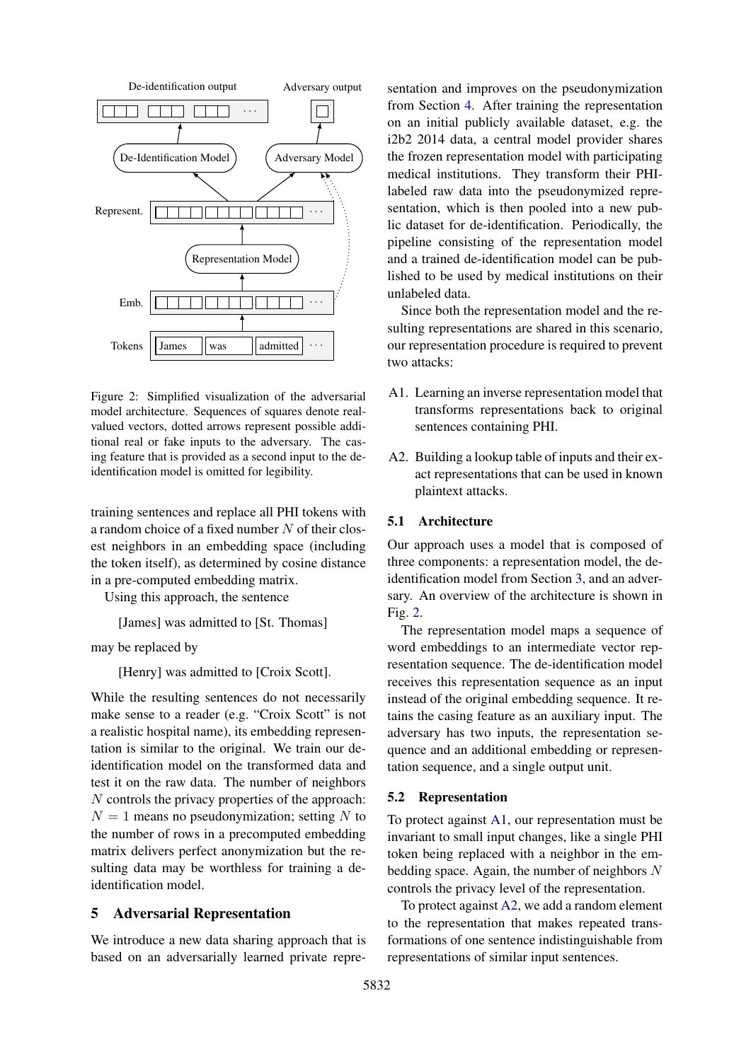<span id="page-3-1"></span>

Figure 2: Simplified visualization of the adversarial model architecture. Sequences of squares denote realvalued vectors, dotted arrows represent possible additional real or fake inputs to the adversary. The casing feature that is provided as a second input to the deidentification model is omitted for legibility.

training sentences and replace all PHI tokens with a random choice of a fixed number  $N$  of their closest neighbors in an embedding space (including the token itself), as determined by cosine distance in a pre-computed embedding matrix.

Using this approach, the sentence

[James] was admitted to [St. Thomas]

```
may be replaced by
```
[Henry] was admitted to [Croix Scott].

While the resulting sentences do not necessarily make sense to a reader (e.g. "Croix Scott" is not a realistic hospital name), its embedding representation is similar to the original. We train our deidentification model on the transformed data and test it on the raw data. The number of neighbors N controls the privacy properties of the approach:  $N = 1$  means no pseudonymization; setting N to the number of rows in a precomputed embedding matrix delivers perfect anonymization but the resulting data may be worthless for training a deidentification model.

# <span id="page-3-0"></span>5 Adversarial Representation

We introduce a new data sharing approach that is based on an adversarially learned private representation and improves on the pseudonymization from Section [4.](#page-2-0) After training the representation on an initial publicly available dataset, e.g. the i2b2 2014 data, a central model provider shares the frozen representation model with participating medical institutions. They transform their PHIlabeled raw data into the pseudonymized representation, which is then pooled into a new public dataset for de-identification. Periodically, the pipeline consisting of the representation model and a trained de-identification model can be published to be used by medical institutions on their unlabeled data.

Since both the representation model and the resulting representations are shared in this scenario, our representation procedure is required to prevent two attacks:

- <span id="page-3-2"></span>A1. Learning an inverse representation model that transforms representations back to original sentences containing PHI.
- <span id="page-3-3"></span>A2. Building a lookup table of inputs and their exact representations that can be used in known plaintext attacks.

# 5.1 Architecture

Our approach uses a model that is composed of three components: a representation model, the deidentification model from Section [3,](#page-2-2) and an adversary. An overview of the architecture is shown in Fig. [2.](#page-3-1)

The representation model maps a sequence of word embeddings to an intermediate vector representation sequence. The de-identification model receives this representation sequence as an input instead of the original embedding sequence. It retains the casing feature as an auxiliary input. The adversary has two inputs, the representation sequence and an additional embedding or representation sequence, and a single output unit.

## 5.2 Representation

To protect against [A1,](#page-3-2) our representation must be invariant to small input changes, like a single PHI token being replaced with a neighbor in the embedding space. Again, the number of neighbors  $N$ controls the privacy level of the representation.

To protect against [A2,](#page-3-3) we add a random element to the representation that makes repeated transformations of one sentence indistinguishable from representations of similar input sentences.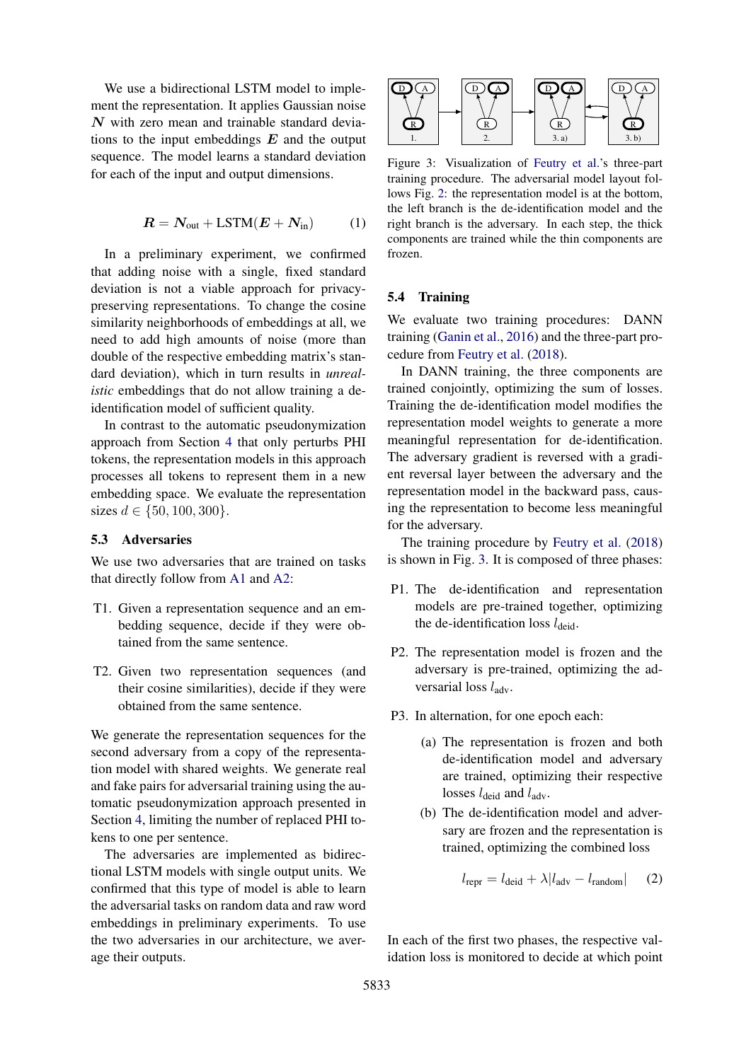We use a bidirectional LSTM model to implement the representation. It applies Gaussian noise  $N$  with zero mean and trainable standard deviations to the input embeddings  $E$  and the output sequence. The model learns a standard deviation for each of the input and output dimensions.

$$
R = N_{\text{out}} + \text{LSTM}(E + N_{\text{in}}) \tag{1}
$$

In a preliminary experiment, we confirmed that adding noise with a single, fixed standard deviation is not a viable approach for privacypreserving representations. To change the cosine similarity neighborhoods of embeddings at all, we need to add high amounts of noise (more than double of the respective embedding matrix's standard deviation), which in turn results in *unrealistic* embeddings that do not allow training a deidentification model of sufficient quality.

In contrast to the automatic pseudonymization approach from Section [4](#page-2-0) that only perturbs PHI tokens, the representation models in this approach processes all tokens to represent them in a new embedding space. We evaluate the representation sizes  $d \in \{50, 100, 300\}.$ 

## 5.3 Adversaries

We use two adversaries that are trained on tasks that directly follow from [A1](#page-3-2) and [A2:](#page-3-3)

- T1. Given a representation sequence and an embedding sequence, decide if they were obtained from the same sentence.
- T2. Given two representation sequences (and their cosine similarities), decide if they were obtained from the same sentence.

We generate the representation sequences for the second adversary from a copy of the representation model with shared weights. We generate real and fake pairs for adversarial training using the automatic pseudonymization approach presented in Section [4,](#page-2-0) limiting the number of replaced PHI tokens to one per sentence.

The adversaries are implemented as bidirectional LSTM models with single output units. We confirmed that this type of model is able to learn the adversarial tasks on random data and raw word embeddings in preliminary experiments. To use the two adversaries in our architecture, we average their outputs.

<span id="page-4-0"></span>

Figure 3: Visualization of [Feutry et al.'](#page-9-16)s three-part training procedure. The adversarial model layout follows Fig. [2:](#page-3-1) the representation model is at the bottom, the left branch is the de-identification model and the right branch is the adversary. In each step, the thick components are trained while the thin components are frozen.

## 5.4 Training

We evaluate two training procedures: DANN training [\(Ganin et al.,](#page-9-13) [2016\)](#page-9-13) and the three-part procedure from [Feutry et al.](#page-9-16) [\(2018\)](#page-9-16).

In DANN training, the three components are trained conjointly, optimizing the sum of losses. Training the de-identification model modifies the representation model weights to generate a more meaningful representation for de-identification. The adversary gradient is reversed with a gradient reversal layer between the adversary and the representation model in the backward pass, causing the representation to become less meaningful for the adversary.

The training procedure by [Feutry et al.](#page-9-16) [\(2018\)](#page-9-16) is shown in Fig. [3.](#page-4-0) It is composed of three phases:

- P1. The de-identification and representation models are pre-trained together, optimizing the de-identification loss  $l_{\text{deid}}$ .
- P2. The representation model is frozen and the adversary is pre-trained, optimizing the adversarial loss  $l_{\text{adv}}$ .
- P3. In alternation, for one epoch each:
	- (a) The representation is frozen and both de-identification model and adversary are trained, optimizing their respective losses  $l_{\text{deid}}$  and  $l_{\text{adv}}$ .
	- (b) The de-identification model and adversary are frozen and the representation is trained, optimizing the combined loss

<span id="page-4-1"></span>
$$
l_{\text{repr}} = l_{\text{deid}} + \lambda |l_{\text{adv}} - l_{\text{random}}| \qquad (2)
$$

In each of the first two phases, the respective validation loss is monitored to decide at which point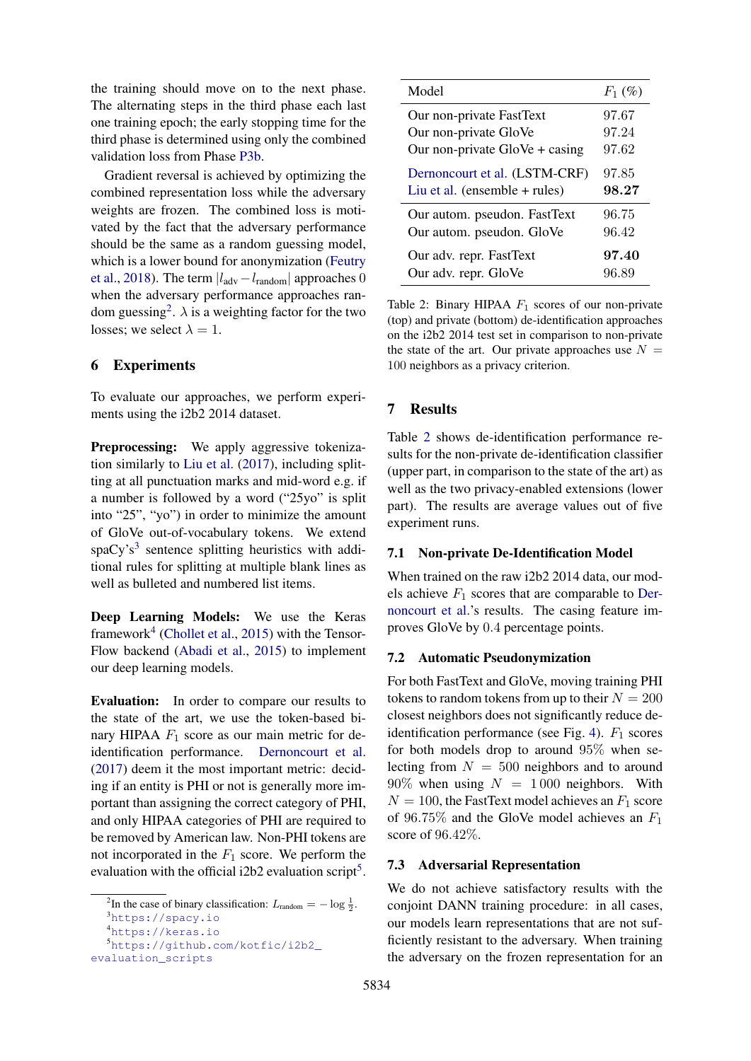the training should move on to the next phase. The alternating steps in the third phase each last one training epoch; the early stopping time for the third phase is determined using only the combined validation loss from Phase [P3b.](#page-4-1)

Gradient reversal is achieved by optimizing the combined representation loss while the adversary weights are frozen. The combined loss is motivated by the fact that the adversary performance should be the same as a random guessing model, which is a lower bound for anonymization [\(Feutry](#page-9-16) [et al.,](#page-9-16) [2018\)](#page-9-16). The term  $|l_{\text{adv}}-l_{\text{random}}|$  approaches 0 when the adversary performance approaches ran-dom guessing<sup>[2](#page-5-0)</sup>.  $\lambda$  is a weighting factor for the two losses; we select  $\lambda = 1$ .

# 6 Experiments

To evaluate our approaches, we perform experiments using the i2b2 2014 dataset.

Preprocessing: We apply aggressive tokenization similarly to [Liu et al.](#page-9-8) [\(2017\)](#page-9-8), including splitting at all punctuation marks and mid-word e.g. if a number is followed by a word ("25yo" is split into "25", "yo") in order to minimize the amount of GloVe out-of-vocabulary tokens. We extend  $spaCy's<sup>3</sup>$  $spaCy's<sup>3</sup>$  $spaCy's<sup>3</sup>$  sentence splitting heuristics with additional rules for splitting at multiple blank lines as well as bulleted and numbered list items.

Deep Learning Models: We use the Keras framework<sup>[4](#page-5-2)</sup> [\(Chollet et al.,](#page-9-21) [2015\)](#page-9-21) with the Tensor-Flow backend [\(Abadi et al.,](#page-8-3) [2015\)](#page-8-3) to implement our deep learning models.

Evaluation: In order to compare our results to the state of the art, we use the token-based binary HIPAA  $F_1$  score as our main metric for deidentification performance. [Dernoncourt et al.](#page-9-6) [\(2017\)](#page-9-6) deem it the most important metric: deciding if an entity is PHI or not is generally more important than assigning the correct category of PHI, and only HIPAA categories of PHI are required to be removed by American law. Non-PHI tokens are not incorporated in the  $F_1$  score. We perform the evaluation with the official i2b2 evaluation script<sup>[5](#page-5-3)</sup>.

<span id="page-5-4"></span>

| Model                            | $F_1$ (%) |
|----------------------------------|-----------|
| Our non-private FastText         | 97.67     |
| Our non-private GloVe            | 97.24     |
| Our non-private $GloVe + casing$ | 97.62     |
| Dernoncourt et al. (LSTM-CRF)    | 97.85     |
| Liu et al. (ensemble $+$ rules)  | 98.27     |
| Our autom. pseudon. FastText     | 96.75     |
| Our autom. pseudon. GloVe        | 96.42     |
| Our adv. repr. FastText          | 97.40     |
| Our adv. repr. GloVe             | 96.89     |

Table 2: Binary HIPAA  $F_1$  scores of our non-private (top) and private (bottom) de-identification approaches on the i2b2 2014 test set in comparison to non-private the state of the art. Our private approaches use  $N =$ 100 neighbors as a privacy criterion.

# 7 Results

Table [2](#page-5-4) shows de-identification performance results for the non-private de-identification classifier (upper part, in comparison to the state of the art) as well as the two privacy-enabled extensions (lower part). The results are average values out of five experiment runs.

#### 7.1 Non-private De-Identification Model

When trained on the raw i2b2 2014 data, our models achieve  $F_1$  scores that are comparable to [Der](#page-9-6)[noncourt et al.'](#page-9-6)s results. The casing feature improves GloVe by 0.4 percentage points.

#### 7.2 Automatic Pseudonymization

For both FastText and GloVe, moving training PHI tokens to random tokens from up to their  $N = 200$ closest neighbors does not significantly reduce de-identification performance (see Fig. [4\)](#page-6-0).  $F_1$  scores for both models drop to around 95% when selecting from  $N = 500$  neighbors and to around  $90\%$  when using  $N = 1000$  neighbors. With  $N = 100$ , the FastText model achieves an  $F_1$  score of 96.75% and the GloVe model achieves an  $F_1$ score of 96.42%.

#### 7.3 Adversarial Representation

We do not achieve satisfactory results with the conjoint DANN training procedure: in all cases, our models learn representations that are not sufficiently resistant to the adversary. When training the adversary on the frozen representation for an

<span id="page-5-0"></span><sup>&</sup>lt;sup>2</sup>In the case of binary classification:  $L_{\text{random}} = -\log \frac{1}{2}$ .

<span id="page-5-1"></span><sup>3</sup><https://spacy.io>

<span id="page-5-2"></span><sup>4</sup><https://keras.io>

<span id="page-5-3"></span><sup>5</sup>[https://github.com/kotfic/i2b2\\_](https://github.com/kotfic/i2b2_evaluation_scripts)

[evaluation\\_scripts](https://github.com/kotfic/i2b2_evaluation_scripts)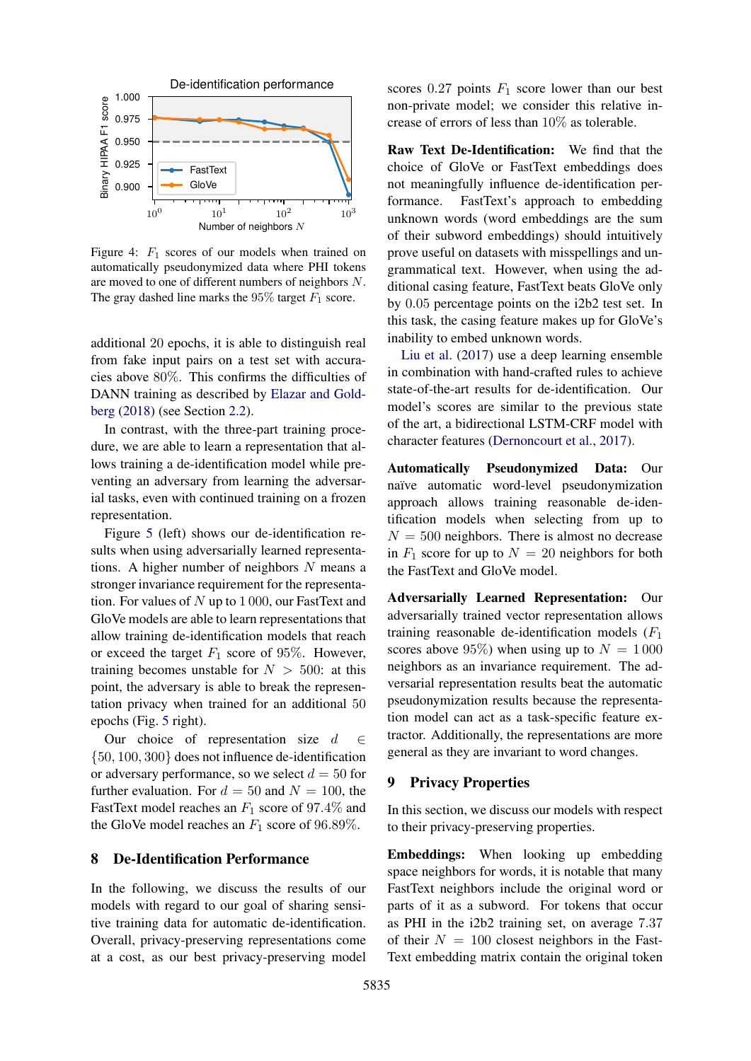<span id="page-6-0"></span>

Figure 4:  $F_1$  scores of our models when trained on automatically pseudonymized data where PHI tokens are moved to one of different numbers of neighbors N. The gray dashed line marks the 95% target  $F_1$  score.

additional 20 epochs, it is able to distinguish real from fake input pairs on a test set with accuracies above 80%. This confirms the difficulties of DANN training as described by [Elazar and Gold](#page-9-14)[berg](#page-9-14) [\(2018\)](#page-9-14) (see Section [2.2\)](#page-2-3).

In contrast, with the three-part training procedure, we are able to learn a representation that allows training a de-identification model while preventing an adversary from learning the adversarial tasks, even with continued training on a frozen representation.

Figure [5](#page-7-0) (left) shows our de-identification results when using adversarially learned representations. A higher number of neighbors  $N$  means a stronger invariance requirement for the representation. For values of  $N$  up to 1000, our FastText and GloVe models are able to learn representations that allow training de-identification models that reach or exceed the target  $F_1$  score of 95%. However, training becomes unstable for  $N > 500$ : at this point, the adversary is able to break the representation privacy when trained for an additional 50 epochs (Fig. [5](#page-7-0) right).

Our choice of representation size  $d \in$ {50, 100, 300} does not influence de-identification or adversary performance, so we select  $d = 50$  for further evaluation. For  $d = 50$  and  $N = 100$ , the FastText model reaches an  $F_1$  score of 97.4% and the GloVe model reaches an  $F_1$  score of 96.89%.

# 8 De-Identification Performance

In the following, we discuss the results of our models with regard to our goal of sharing sensitive training data for automatic de-identification. Overall, privacy-preserving representations come at a cost, as our best privacy-preserving model

scores  $0.27$  points  $F_1$  score lower than our best non-private model; we consider this relative increase of errors of less than 10% as tolerable.

Raw Text De-Identification: We find that the choice of GloVe or FastText embeddings does not meaningfully influence de-identification performance. FastText's approach to embedding unknown words (word embeddings are the sum of their subword embeddings) should intuitively prove useful on datasets with misspellings and ungrammatical text. However, when using the additional casing feature, FastText beats GloVe only by 0.05 percentage points on the i2b2 test set. In this task, the casing feature makes up for GloVe's inability to embed unknown words.

[Liu et al.](#page-9-8) [\(2017\)](#page-9-8) use a deep learning ensemble in combination with hand-crafted rules to achieve state-of-the-art results for de-identification. Our model's scores are similar to the previous state of the art, a bidirectional LSTM-CRF model with character features [\(Dernoncourt et al.,](#page-9-6) [2017\)](#page-9-6).

Automatically Pseudonymized Data: Our naïve automatic word-level pseudonymization approach allows training reasonable de-identification models when selecting from up to  $N = 500$  neighbors. There is almost no decrease in  $F_1$  score for up to  $N = 20$  neighbors for both the FastText and GloVe model.

Adversarially Learned Representation: Our adversarially trained vector representation allows training reasonable de-identification models  $(F_1)$ scores above 95%) when using up to  $N = 1000$ neighbors as an invariance requirement. The adversarial representation results beat the automatic pseudonymization results because the representation model can act as a task-specific feature extractor. Additionally, the representations are more general as they are invariant to word changes.

# 9 Privacy Properties

In this section, we discuss our models with respect to their privacy-preserving properties.

Embeddings: When looking up embedding space neighbors for words, it is notable that many FastText neighbors include the original word or parts of it as a subword. For tokens that occur as PHI in the i2b2 training set, on average 7.37 of their  $N = 100$  closest neighbors in the Fast-Text embedding matrix contain the original token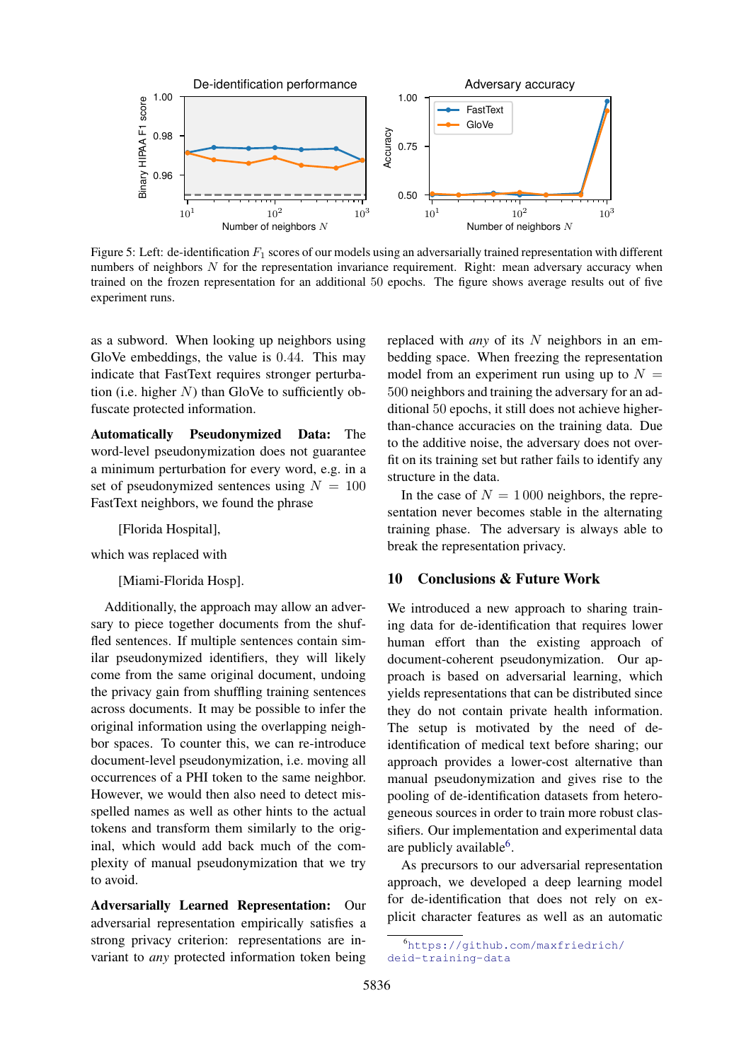<span id="page-7-0"></span>

Figure 5: Left: de-identification  $F_1$  scores of our models using an adversarially trained representation with different numbers of neighbors  $N$  for the representation invariance requirement. Right: mean adversary accuracy when trained on the frozen representation for an additional 50 epochs. The figure shows average results out of five experiment runs.

as a subword. When looking up neighbors using GloVe embeddings, the value is 0.44. This may indicate that FastText requires stronger perturbation (i.e. higher  $N$ ) than GloVe to sufficiently obfuscate protected information.

Automatically Pseudonymized Data: The word-level pseudonymization does not guarantee a minimum perturbation for every word, e.g. in a set of pseudonymized sentences using  $N = 100$ FastText neighbors, we found the phrase

[Florida Hospital],

which was replaced with

[Miami-Florida Hosp].

Additionally, the approach may allow an adversary to piece together documents from the shuffled sentences. If multiple sentences contain similar pseudonymized identifiers, they will likely come from the same original document, undoing the privacy gain from shuffling training sentences across documents. It may be possible to infer the original information using the overlapping neighbor spaces. To counter this, we can re-introduce document-level pseudonymization, i.e. moving all occurrences of a PHI token to the same neighbor. However, we would then also need to detect misspelled names as well as other hints to the actual tokens and transform them similarly to the original, which would add back much of the complexity of manual pseudonymization that we try to avoid.

Adversarially Learned Representation: Our adversarial representation empirically satisfies a strong privacy criterion: representations are invariant to *any* protected information token being replaced with *any* of its N neighbors in an embedding space. When freezing the representation model from an experiment run using up to  $N =$ 500 neighbors and training the adversary for an additional 50 epochs, it still does not achieve higherthan-chance accuracies on the training data. Due to the additive noise, the adversary does not overfit on its training set but rather fails to identify any structure in the data.

In the case of  $N = 1000$  neighbors, the representation never becomes stable in the alternating training phase. The adversary is always able to break the representation privacy.

# 10 Conclusions & Future Work

We introduced a new approach to sharing training data for de-identification that requires lower human effort than the existing approach of document-coherent pseudonymization. Our approach is based on adversarial learning, which yields representations that can be distributed since they do not contain private health information. The setup is motivated by the need of deidentification of medical text before sharing; our approach provides a lower-cost alternative than manual pseudonymization and gives rise to the pooling of de-identification datasets from heterogeneous sources in order to train more robust classifiers. Our implementation and experimental data are publicly available<sup>[6](#page-7-1)</sup>.

As precursors to our adversarial representation approach, we developed a deep learning model for de-identification that does not rely on explicit character features as well as an automatic

<span id="page-7-1"></span><sup>6</sup>[https://github.com/maxfriedrich/](https://github.com/maxfriedrich/deid-training-data) [deid-training-data](https://github.com/maxfriedrich/deid-training-data)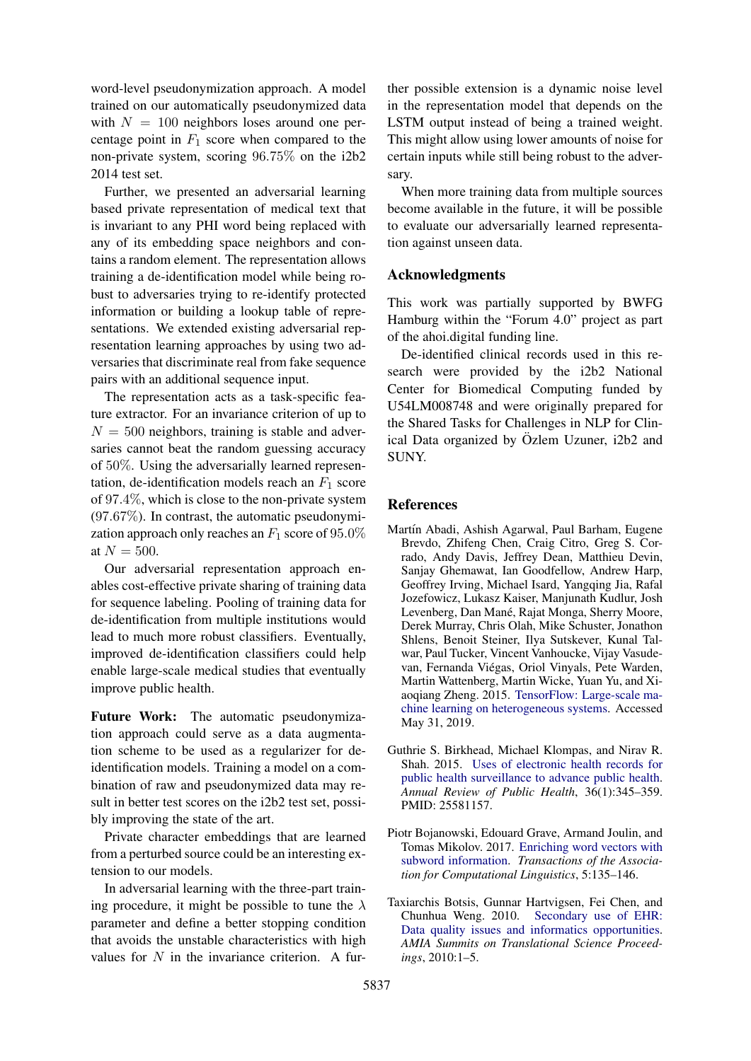word-level pseudonymization approach. A model trained on our automatically pseudonymized data with  $N = 100$  neighbors loses around one percentage point in  $F_1$  score when compared to the non-private system, scoring 96.75% on the i2b2 2014 test set.

Further, we presented an adversarial learning based private representation of medical text that is invariant to any PHI word being replaced with any of its embedding space neighbors and contains a random element. The representation allows training a de-identification model while being robust to adversaries trying to re-identify protected information or building a lookup table of representations. We extended existing adversarial representation learning approaches by using two adversaries that discriminate real from fake sequence pairs with an additional sequence input.

The representation acts as a task-specific feature extractor. For an invariance criterion of up to  $N = 500$  neighbors, training is stable and adversaries cannot beat the random guessing accuracy of 50%. Using the adversarially learned representation, de-identification models reach an  $F_1$  score of 97.4%, which is close to the non-private system (97.67%). In contrast, the automatic pseudonymization approach only reaches an  $F_1$  score of 95.0% at  $N = 500$ .

Our adversarial representation approach enables cost-effective private sharing of training data for sequence labeling. Pooling of training data for de-identification from multiple institutions would lead to much more robust classifiers. Eventually, improved de-identification classifiers could help enable large-scale medical studies that eventually improve public health.

Future Work: The automatic pseudonymization approach could serve as a data augmentation scheme to be used as a regularizer for deidentification models. Training a model on a combination of raw and pseudonymized data may result in better test scores on the i2b2 test set, possibly improving the state of the art.

Private character embeddings that are learned from a perturbed source could be an interesting extension to our models.

In adversarial learning with the three-part training procedure, it might be possible to tune the  $\lambda$ parameter and define a better stopping condition that avoids the unstable characteristics with high values for  $N$  in the invariance criterion. A fur-

ther possible extension is a dynamic noise level in the representation model that depends on the LSTM output instead of being a trained weight. This might allow using lower amounts of noise for certain inputs while still being robust to the adversary.

When more training data from multiple sources become available in the future, it will be possible to evaluate our adversarially learned representation against unseen data.

# Acknowledgments

This work was partially supported by BWFG Hamburg within the "Forum 4.0" project as part of the ahoi.digital funding line.

De-identified clinical records used in this research were provided by the i2b2 National Center for Biomedical Computing funded by U54LM008748 and were originally prepared for the Shared Tasks for Challenges in NLP for Clinical Data organized by Özlem Uzuner, i2b2 and SUNY.

# References

- <span id="page-8-3"></span>Martín Abadi, Ashish Agarwal, Paul Barham, Eugene Brevdo, Zhifeng Chen, Craig Citro, Greg S. Corrado, Andy Davis, Jeffrey Dean, Matthieu Devin, Sanjay Ghemawat, Ian Goodfellow, Andrew Harp, Geoffrey Irving, Michael Isard, Yangqing Jia, Rafal Jozefowicz, Lukasz Kaiser, Manjunath Kudlur, Josh Levenberg, Dan Mané, Rajat Monga, Sherry Moore, Derek Murray, Chris Olah, Mike Schuster, Jonathon Shlens, Benoit Steiner, Ilya Sutskever, Kunal Talwar, Paul Tucker, Vincent Vanhoucke, Vijay Vasudevan, Fernanda Viegas, Oriol Vinyals, Pete Warden, ´ Martin Wattenberg, Martin Wicke, Yuan Yu, and Xiaoqiang Zheng. 2015. [TensorFlow: Large-scale ma](https://www.tensorflow.org/)[chine learning on heterogeneous systems.](https://www.tensorflow.org/) Accessed May 31, 2019.
- <span id="page-8-1"></span>Guthrie S. Birkhead, Michael Klompas, and Nirav R. Shah. 2015. [Uses of electronic health records for](https://doi.org/10.1146/annurev-publhealth-031914-122747) [public health surveillance to advance public health.](https://doi.org/10.1146/annurev-publhealth-031914-122747) *Annual Review of Public Health*, 36(1):345–359. PMID: 25581157.
- <span id="page-8-2"></span>Piotr Bojanowski, Edouard Grave, Armand Joulin, and Tomas Mikolov. 2017. [Enriching word vectors with](https://transacl.org/ojs/index.php/tacl/article/view/999) [subword information.](https://transacl.org/ojs/index.php/tacl/article/view/999) *Transactions of the Association for Computational Linguistics*, 5:135–146.
- <span id="page-8-0"></span>Taxiarchis Botsis, Gunnar Hartvigsen, Fei Chen, and Chunhua Weng. 2010. [Secondary use of EHR:](https://www.ncbi.nlm.nih.gov/pmc/articles/PMC3041534/) [Data quality issues and informatics opportunities.](https://www.ncbi.nlm.nih.gov/pmc/articles/PMC3041534/) *AMIA Summits on Translational Science Proceedings*, 2010:1–5.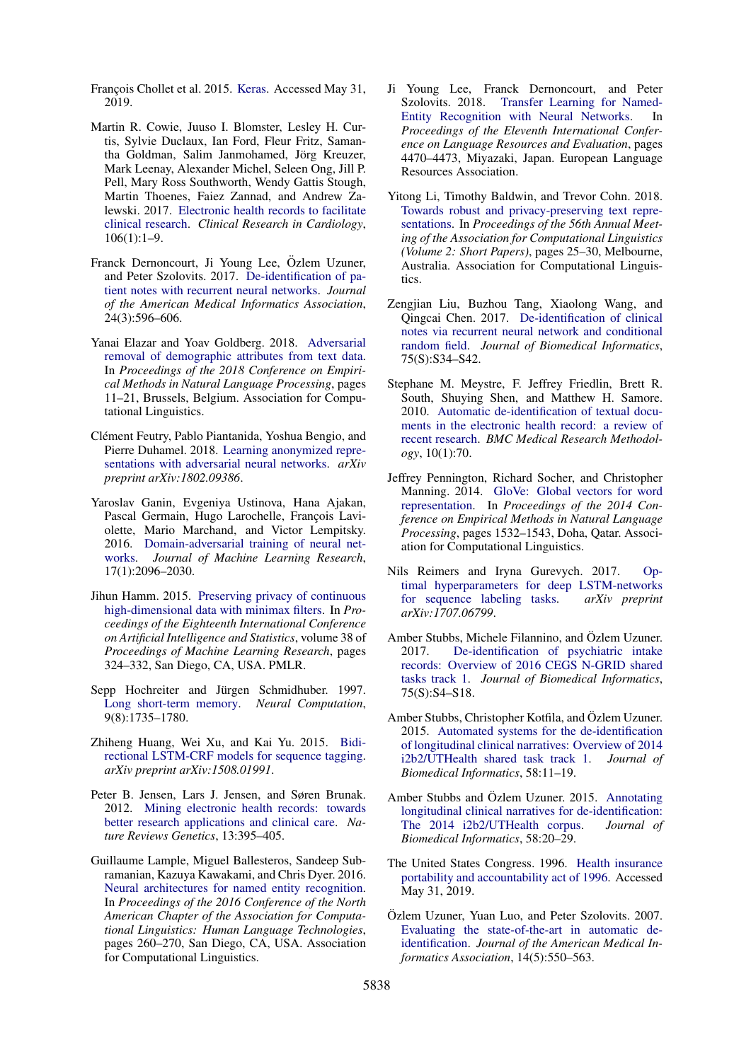<span id="page-9-21"></span>François Chollet et al. 2015. [Keras.](https://keras.io) Accessed May 31, 2019.

- <span id="page-9-0"></span>Martin R. Cowie, Juuso I. Blomster, Lesley H. Curtis, Sylvie Duclaux, Ian Ford, Fleur Fritz, Samantha Goldman, Salim Janmohamed, Jörg Kreuzer, Mark Leenay, Alexander Michel, Seleen Ong, Jill P. Pell, Mary Ross Southworth, Wendy Gattis Stough, Martin Thoenes, Faiez Zannad, and Andrew Zalewski. 2017. [Electronic health records to facilitate](https://doi.org/10.1007/s00392-016-1025-6) [clinical research.](https://doi.org/10.1007/s00392-016-1025-6) *Clinical Research in Cardiology*, 106(1):1–9.
- <span id="page-9-6"></span>Franck Dernoncourt, Ji Young Lee, Özlem Uzuner, and Peter Szolovits. 2017. [De-identification of pa](https://doi.org/10.1093/jamia/ocw156)[tient notes with recurrent neural networks.](https://doi.org/10.1093/jamia/ocw156) *Journal of the American Medical Informatics Association*, 24(3):596–606.
- <span id="page-9-14"></span>Yanai Elazar and Yoav Goldberg. 2018. [Adversarial](https://aclweb.org/anthology/D18-1002) [removal of demographic attributes from text data.](https://aclweb.org/anthology/D18-1002) In *Proceedings of the 2018 Conference on Empirical Methods in Natural Language Processing*, pages 11–21, Brussels, Belgium. Association for Computational Linguistics.
- <span id="page-9-16"></span>Clément Feutry, Pablo Piantanida, Yoshua Bengio, and Pierre Duhamel. 2018. [Learning anonymized repre](https://arxiv.org/abs/1802.09386)[sentations with adversarial neural networks.](https://arxiv.org/abs/1802.09386) *arXiv preprint arXiv:1802.09386*.
- <span id="page-9-13"></span>Yaroslav Ganin, Evgeniya Ustinova, Hana Ajakan, Pascal Germain, Hugo Larochelle, François Laviolette, Mario Marchand, and Victor Lempitsky. 2016. [Domain-adversarial training of neural net](http://www.jmlr.org/papers/volume17/15-189/15-189.pdf)[works.](http://www.jmlr.org/papers/volume17/15-189/15-189.pdf) *Journal of Machine Learning Research*, 17(1):2096–2030.
- <span id="page-9-12"></span>Jihun Hamm. 2015. [Preserving privacy of continuous](http://proceedings.mlr.press/v38/hamm15.html) [high-dimensional data with minimax filters.](http://proceedings.mlr.press/v38/hamm15.html) In *Proceedings of the Eighteenth International Conference on Artificial Intelligence and Statistics*, volume 38 of *Proceedings of Machine Learning Research*, pages 324–332, San Diego, CA, USA. PMLR.
- <span id="page-9-10"></span>Sepp Hochreiter and Jürgen Schmidhuber. 1997. [Long short-term memory.](https://doi.org/10.1162/neco.1997.9.8.1735) *Neural Computation*, 9(8):1735–1780.
- <span id="page-9-17"></span>Zhiheng Huang, Wei Xu, and Kai Yu. 2015. [Bidi](https://arxiv.org/abs/1508.01991)[rectional LSTM-CRF models for sequence tagging.](https://arxiv.org/abs/1508.01991) *arXiv preprint arXiv:1508.01991*.
- <span id="page-9-1"></span>Peter B. Jensen, Lars J. Jensen, and Søren Brunak. 2012. [Mining electronic health records: towards](https://doi.org/10.1038/nrg3208) [better research applications and clinical care.](https://doi.org/10.1038/nrg3208) *Nature Reviews Genetics*, 13:395–405.
- <span id="page-9-18"></span>Guillaume Lample, Miguel Ballesteros, Sandeep Subramanian, Kazuya Kawakami, and Chris Dyer. 2016. [Neural architectures for named entity recognition.](https://aclweb.org/anthology/N16-1030) In *Proceedings of the 2016 Conference of the North American Chapter of the Association for Computational Linguistics: Human Language Technologies*, pages 260–270, San Diego, CA, USA. Association for Computational Linguistics.
- <span id="page-9-11"></span>Ji Young Lee, Franck Dernoncourt, and Peter Szolovits. 2018. [Transfer Learning for Named-](http://www.lrec-conf.org/proceedings/lrec2018/pdf/878.pdf)[Entity Recognition with Neural Networks.](http://www.lrec-conf.org/proceedings/lrec2018/pdf/878.pdf) In *Proceedings of the Eleventh International Conference on Language Resources and Evaluation*, pages 4470–4473, Miyazaki, Japan. European Language Resources Association.
- <span id="page-9-15"></span>Yitong Li, Timothy Baldwin, and Trevor Cohn. 2018. [Towards robust and privacy-preserving text repre](https://aclweb.org/anthology/P18-2005)[sentations.](https://aclweb.org/anthology/P18-2005) In *Proceedings of the 56th Annual Meeting of the Association for Computational Linguistics (Volume 2: Short Papers)*, pages 25–30, Melbourne, Australia. Association for Computational Linguistics.
- <span id="page-9-8"></span>Zengjian Liu, Buzhou Tang, Xiaolong Wang, and Qingcai Chen. 2017. [De-identification of clinical](https://doi.org/10.1016/j.jbi.2017.05.023) [notes via recurrent neural network and conditional](https://doi.org/10.1016/j.jbi.2017.05.023) [random field.](https://doi.org/10.1016/j.jbi.2017.05.023) *Journal of Biomedical Informatics*, 75(S):S34–S42.
- <span id="page-9-7"></span>Stephane M. Meystre, F. Jeffrey Friedlin, Brett R. South, Shuying Shen, and Matthew H. Samore. 2010. [Automatic de-identification of textual docu](https://doi.org/10.1186/1471-2288-10-70)[ments in the electronic health record: a review of](https://doi.org/10.1186/1471-2288-10-70) [recent research.](https://doi.org/10.1186/1471-2288-10-70) *BMC Medical Research Methodology*, 10(1):70.
- <span id="page-9-19"></span>Jeffrey Pennington, Richard Socher, and Christopher Manning. 2014. [GloVe: Global vectors for word](https://aclweb.org/anthology/D14-1162) [representation.](https://aclweb.org/anthology/D14-1162) In *Proceedings of the 2014 Conference on Empirical Methods in Natural Language Processing*, pages 1532–1543, Doha, Qatar. Association for Computational Linguistics.
- <span id="page-9-20"></span>Nils Reimers and Iryna Gurevych. 2017. [Op](https://arxiv.org/abs/1707.06799)[timal hyperparameters for deep LSTM-networks](https://arxiv.org/abs/1707.06799) [for sequence labeling tasks.](https://arxiv.org/abs/1707.06799) *arXiv preprint arXiv:1707.06799*.
- <span id="page-9-5"></span>Amber Stubbs, Michele Filannino, and Özlem Uzuner. 2017. [De-identification of psychiatric intake](https://doi.org/10.1016/j.jbi.2017.06.011) [records: Overview of 2016 CEGS N-GRID shared](https://doi.org/10.1016/j.jbi.2017.06.011) [tasks track 1.](https://doi.org/10.1016/j.jbi.2017.06.011) *Journal of Biomedical Informatics*, 75(S):S4–S18.
- <span id="page-9-9"></span>Amber Stubbs, Christopher Kotfila, and Özlem Uzuner. 2015. [Automated systems for the de-identification](https://doi.org/10.1016/j.jbi.2015.07.020) [of longitudinal clinical narratives: Overview of 2014](https://doi.org/10.1016/j.jbi.2015.07.020) [i2b2/UTHealth shared task track 1.](https://doi.org/10.1016/j.jbi.2015.07.020) *Journal of Biomedical Informatics*, 58:11–19.
- <span id="page-9-4"></span>Amber Stubbs and Özlem Uzuner. 2015. [Annotating](https://doi.org/10.1016/j.jbi.2015.07.020) [longitudinal clinical narratives for de-identification:](https://doi.org/10.1016/j.jbi.2015.07.020) [The 2014 i2b2/UTHealth corpus.](https://doi.org/10.1016/j.jbi.2015.07.020) *Journal of Biomedical Informatics*, 58:20–29.
- <span id="page-9-2"></span>The United States Congress. 1996. [Health insurance](https://legislink.org/us/pl-104-191) [portability and accountability act of 1996.](https://legislink.org/us/pl-104-191) Accessed May 31, 2019.
- <span id="page-9-3"></span>Özlem Uzuner, Yuan Luo, and Peter Szolovits. 2007. [Evaluating the state-of-the-art in automatic de](https://www.ncbi.nlm.nih.gov/pubmed/17600094)[identification.](https://www.ncbi.nlm.nih.gov/pubmed/17600094) *Journal of the American Medical Informatics Association*, 14(5):550–563.